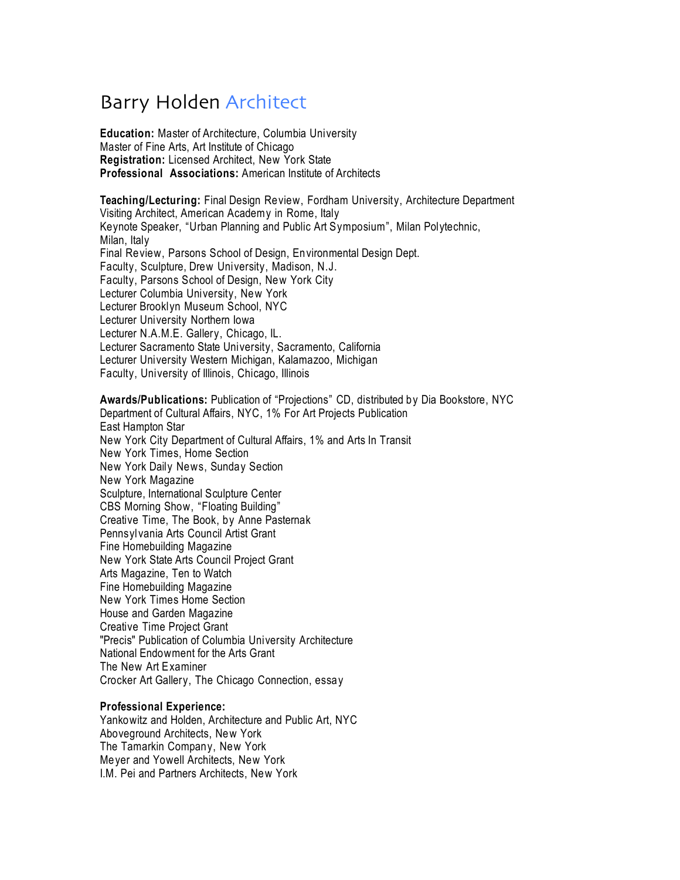# Barry Holden Architect

**Education:** Master of Architecture, Columbia University Master of Fine Arts, Art Institute of Chicago **Registration:** Licensed Architect, New York State **Professional Associations:** American Institute of Architects

**Teaching/Lecturing:** Final Design Review, Fordham University, Architecture Department Visiting Architect, American Academy in Rome, Italy Keynote Speaker, "Urban Planning and Public Art Symposium", Milan Polytechnic, Milan, Italy Final Review, Parsons School of Design, Environmental Design Dept. Faculty, Sculpture, Drew University, Madison, N.J. Faculty, Parsons School of Design, New York City Lecturer Columbia University, New York Lecturer Brooklyn Museum School, NYC Lecturer University Northern Iowa Lecturer N.A.M.E. Gallery, Chicago, IL. Lecturer Sacramento State University, Sacramento, California Lecturer University Western Michigan, Kalamazoo, Michigan Faculty, University of Illinois, Chicago, Illinois

**Awards/Publications:** Publication of "Projections" CD, distributed by Dia Bookstore, NYC Department of Cultural Affairs, NYC, 1% For Art Projects Publication East Hampton Star New York City Department of Cultural Affairs, 1% and Arts In Transit New York Times, Home Section New York Daily News, Sunday Section New York Magazine Sculpture, International Sculpture Center CBS Morning Show, "Floating Building" Creative Time, The Book, by Anne Pasternak Pennsyl vania Arts Council Artist Grant Fine Homebuilding Magazine New York State Arts Council Project Grant Arts Magazine, Ten to Watch Fine Homebuilding Magazine New York Times Home Section House and Garden Magazine Creative Time Project Grant "Precis" Publication of Columbia University Architecture National Endowment for the Arts Grant The New Art Examiner Crocker Art Gallery, The Chicago Connection, essay

#### **Professional Experience:**

Yankowitz and Holden, Architecture and Public Art, NYC Aboveground Architects, New York The Tamarkin Company, New York Meyer and Yowell Architects, New York I.M. Pei and Partners Architects, New York